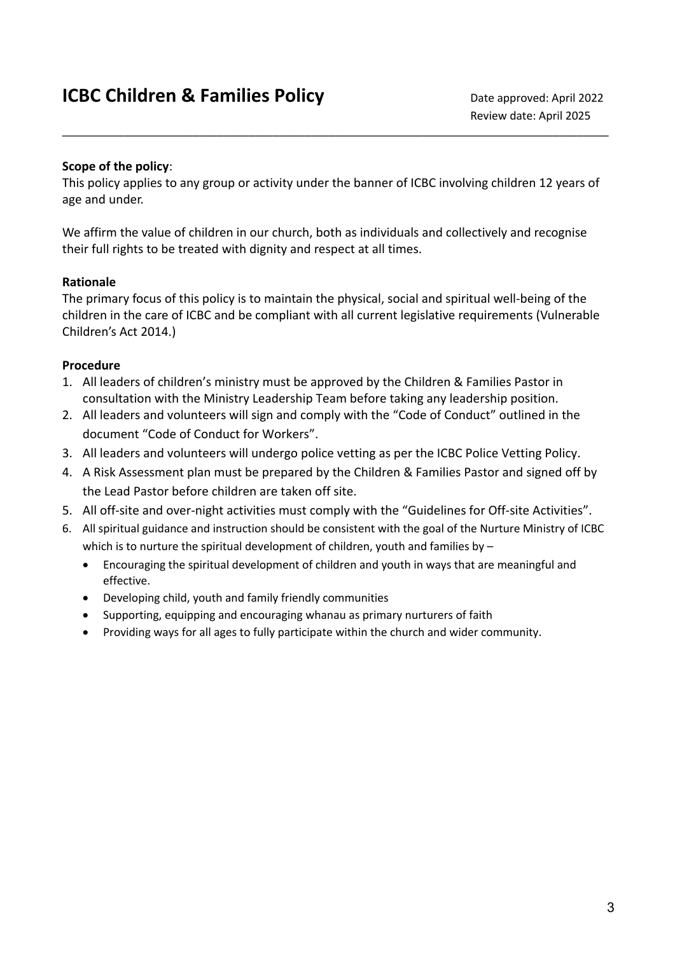#### **Scope of the policy**:

This policy applies to any group or activity under the banner of ICBC involving children 12 years of age and under.

\_\_\_\_\_\_\_\_\_\_\_\_\_\_\_\_\_\_\_\_\_\_\_\_\_\_\_\_\_\_\_\_\_\_\_\_\_\_\_\_\_\_\_\_\_\_\_\_\_\_\_\_\_\_\_\_\_\_\_\_\_\_\_\_\_\_\_\_\_\_\_\_\_\_\_\_\_\_\_\_\_\_\_\_\_\_\_\_

We affirm the value of children in our church, both as individuals and collectively and recognise their full rights to be treated with dignity and respect at all times.

## **Rationale**

The primary focus of this policy is to maintain the physical, social and spiritual well-being of the children in the care of ICBC and be compliant with all current legislative requirements (Vulnerable Children's Act 2014.)

## **Procedure**

- 1. All leaders of children's ministry must be approved by the Children & Families Pastor in consultation with the Ministry Leadership Team before taking any leadership position.
- 2. All leaders and volunteers will sign and comply with the "Code of Conduct" outlined in the document "Code of Conduct for Workers".
- 3. All leaders and volunteers will undergo police vetting as per the ICBC Police Vetting Policy.
- 4. A Risk Assessment plan must be prepared by the Children & Families Pastor and signed off by the Lead Pastor before children are taken off site.
- 5. All off-site and over-night activities must comply with the "Guidelines for Off-site Activities".
- 6. All spiritual guidance and instruction should be consistent with the goal of the Nurture Ministry of ICBC which is to nurture the spiritual development of children, youth and families by -
	- Encouraging the spiritual development of children and youth in ways that are meaningful and effective.
	- Developing child, youth and family friendly communities
	- Supporting, equipping and encouraging whanau as primary nurturers of faith
	- Providing ways for all ages to fully participate within the church and wider community.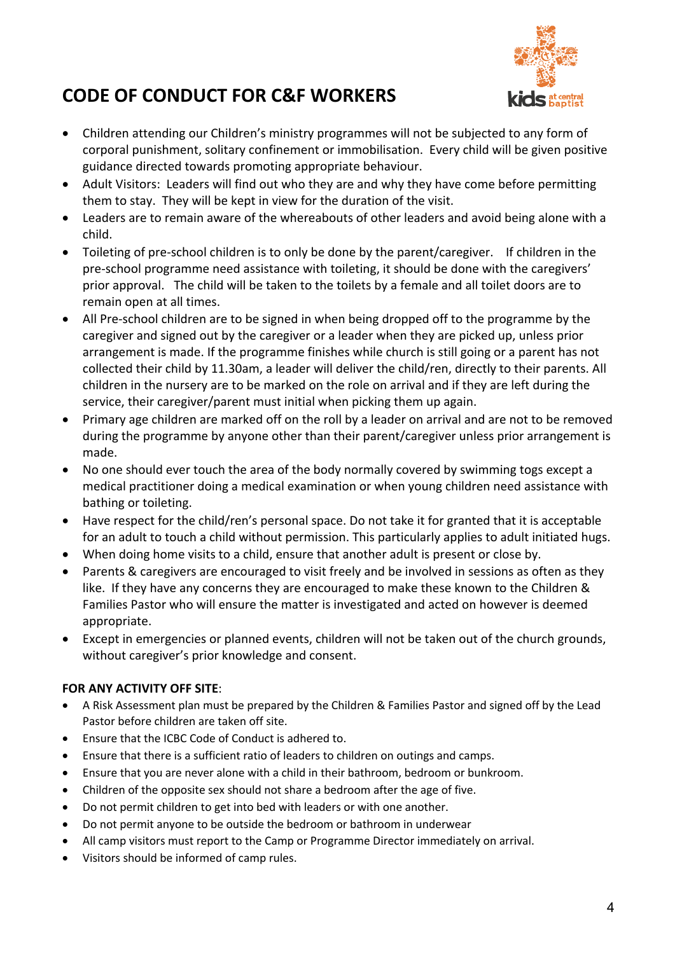

# **CODE OF CONDUCT FOR C&F WORKERS**

- Children attending our Children's ministry programmes will not be subjected to any form of corporal punishment, solitary confinement or immobilisation. Every child will be given positive guidance directed towards promoting appropriate behaviour.
- Adult Visitors: Leaders will find out who they are and why they have come before permitting them to stay. They will be kept in view for the duration of the visit.
- Leaders are to remain aware of the whereabouts of other leaders and avoid being alone with a child.
- Toileting of pre-school children is to only be done by the parent/caregiver. If children in the pre-school programme need assistance with toileting, it should be done with the caregivers' prior approval. The child will be taken to the toilets by a female and all toilet doors are to remain open at all times.
- All Pre-school children are to be signed in when being dropped off to the programme by the caregiver and signed out by the caregiver or a leader when they are picked up, unless prior arrangement is made. If the programme finishes while church is still going or a parent has not collected their child by 11.30am, a leader will deliver the child/ren, directly to their parents. All children in the nursery are to be marked on the role on arrival and if they are left during the service, their caregiver/parent must initial when picking them up again.
- Primary age children are marked off on the roll by a leader on arrival and are not to be removed during the programme by anyone other than their parent/caregiver unless prior arrangement is made.
- No one should ever touch the area of the body normally covered by swimming togs except a medical practitioner doing a medical examination or when young children need assistance with bathing or toileting.
- Have respect for the child/ren's personal space. Do not take it for granted that it is acceptable for an adult to touch a child without permission. This particularly applies to adult initiated hugs.
- When doing home visits to a child, ensure that another adult is present or close by.
- Parents & caregivers are encouraged to visit freely and be involved in sessions as often as they like. If they have any concerns they are encouraged to make these known to the Children & Families Pastor who will ensure the matter is investigated and acted on however is deemed appropriate.
- Except in emergencies or planned events, children will not be taken out of the church grounds, without caregiver's prior knowledge and consent.

#### **FOR ANY ACTIVITY OFF SITE**:

- A Risk Assessment plan must be prepared by the Children & Families Pastor and signed off by the Lead Pastor before children are taken off site.
- Ensure that the ICBC Code of Conduct is adhered to.
- Ensure that there is a sufficient ratio of leaders to children on outings and camps.
- Ensure that you are never alone with a child in their bathroom, bedroom or bunkroom.
- Children of the opposite sex should not share a bedroom after the age of five.
- Do not permit children to get into bed with leaders or with one another.
- Do not permit anyone to be outside the bedroom or bathroom in underwear
- All camp visitors must report to the Camp or Programme Director immediately on arrival.
- Visitors should be informed of camp rules.